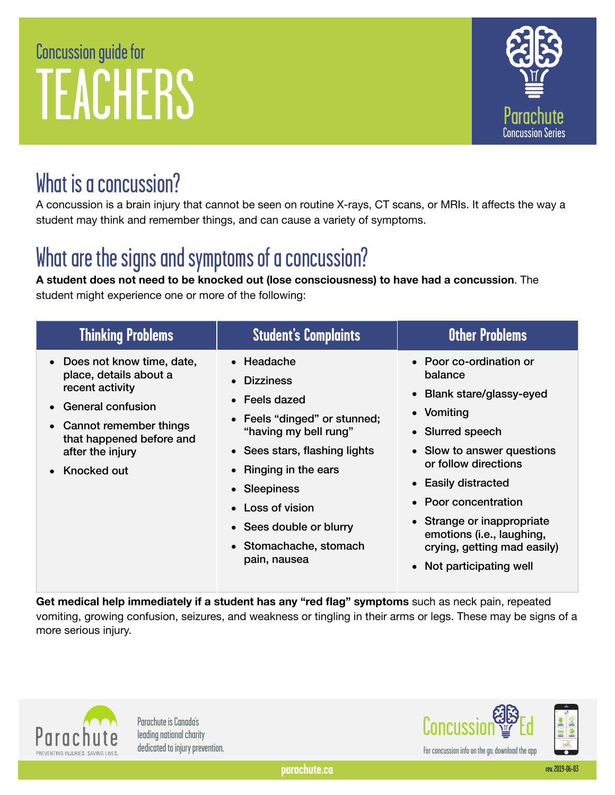# Concussion guide for TEACHERS



# What is a concussion?

A concussion is a brain injury that cannot be seen on routine X-rays, CT scans, or MRIs. It affects the way a student may think and remember things, and can cause a variety of symptoms.

# What are the signs and symptoms of a concussion?

**A student does not need to be knocked out (lose consciousness) to have had a concussion**. The student might experience one or more of the following:

| <b>Thinking Problems</b>                                                                                                                                                                                     | <b>Student's Complaints</b>                                                                                                                                                                                                                                                    | <b>Other Problems</b>                                                                                                                                                                                                                                                                                                        |
|--------------------------------------------------------------------------------------------------------------------------------------------------------------------------------------------------------------|--------------------------------------------------------------------------------------------------------------------------------------------------------------------------------------------------------------------------------------------------------------------------------|------------------------------------------------------------------------------------------------------------------------------------------------------------------------------------------------------------------------------------------------------------------------------------------------------------------------------|
| • Does not know time, date,<br>place, details about a<br>recent activity<br><b>General confusion</b><br>$\bullet$<br>• Cannot remember things<br>that happened before and<br>after the injury<br>Knocked out | $\bullet$ Headache<br>• Dizziness<br>• Feels dazed<br>• Feels "dinged" or stunned;<br>"having my bell rung"<br>• Sees stars, flashing lights<br>• Ringing in the ears<br>• Sleepiness<br>• Loss of vision<br>• Sees double or blurry<br>• Stomachache, stomach<br>pain, nausea | • Poor co-ordination or<br>balance<br>• Blank stare/glassy-eyed<br>• Vomiting<br>• Slurred speech<br>• Slow to answer questions<br>or follow directions<br>• Easily distracted<br>• Poor concentration<br>• Strange or inappropriate<br>emotions (i.e., laughing,<br>crying, getting mad easily)<br>• Not participating well |

**Get medical help immediately if a student has any "red flag" symptoms** such as neck pain, repeated vomiting, growing confusion, seizures, and weakness or tingling in their arms or legs. These may be signs of a more serious injury.



Parachute is Canada's

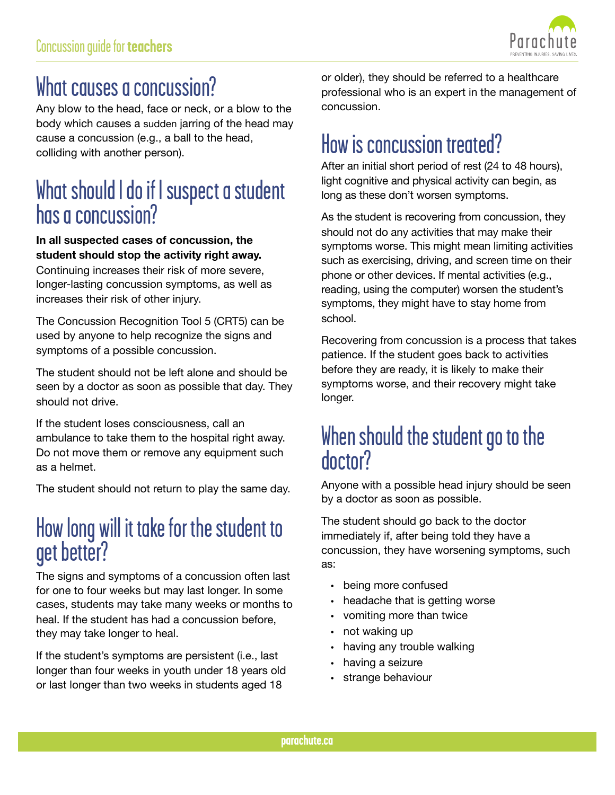

## What causes a concussion?

Any blow to the head, face or neck, or a blow to the body which causes a sudden jarring of the head may cause a concussion (e.g., a ball to the head, colliding with another person).

### What should I do if I suspect a student has a concussion?

#### **In all suspected cases of concussion, the student should stop the activity right away.**

Continuing increases their risk of more severe, longer-lasting concussion symptoms, as well as increases their risk of other injury.

The Concussion Recognition Tool 5 (CRT5) can be used by anyone to help recognize the signs and symptoms of a possible concussion.

The student should not be left alone and should be seen by a doctor as soon as possible that day. They should not drive.

If the student loses consciousness, call an ambulance to take them to the hospital right away. Do not move them or remove any equipment such as a helmet.

The student should not return to play the same day.

### How long will it take for the student to get better?

The signs and symptoms of a concussion often last for one to four weeks but may last longer. In some cases, students may take many weeks or months to heal. If the student has had a concussion before, they may take longer to heal.

If the student's symptoms are persistent (i.e., last longer than four weeks in youth under 18 years old or last longer than two weeks in students aged 18

or older), they should be referred to a healthcare professional who is an expert in the management of concussion.

## How is concussion treated?

After an initial short period of rest (24 to 48 hours), light cognitive and physical activity can begin, as long as these don't worsen symptoms.

 reading, using the computer) worsen the student's As the student is recovering from concussion, they should not do any activities that may make their symptoms worse. This might mean limiting activities such as exercising, driving, and screen time on their phone or other devices. If mental activities (e.g., symptoms, they might have to stay home from school.

Recovering from concussion is a process that takes patience. If the student goes back to activities before they are ready, it is likely to make their symptoms worse, and their recovery might take longer.

#### When should the student go to the doctor?

Anyone with a possible head injury should be seen by a doctor as soon as possible.

The student should go back to the doctor immediately if, after being told they have a concussion, they have worsening symptoms, such as:

- being more confused
- headache that is getting worse
- vomiting more than twice
- not waking up
- having any trouble walking
- having a seizure
- strange behaviour